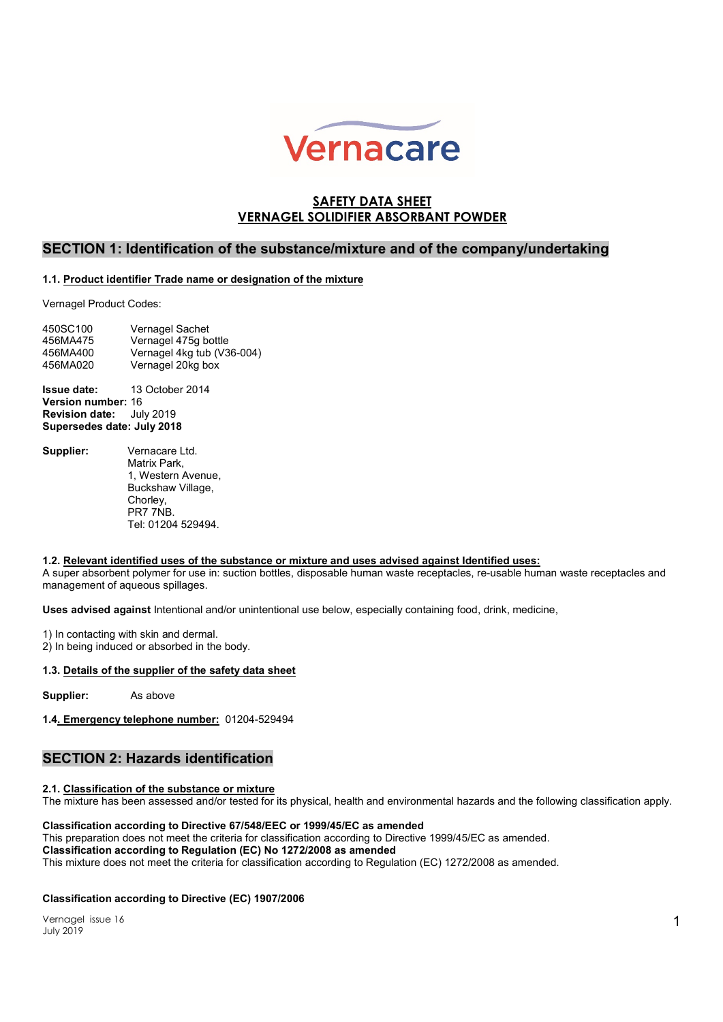

# SAFETY DATA SHEET VERNAGEL SOLIDIFIER ABSORBANT POWDER

## SECTION 1: Identification of the substance/mixture and of the company/undertaking

### 1.1. Product identifier Trade name or designation of the mixture

Vernagel Product Codes:

| 450SC100 | Vernagel Sachet            |
|----------|----------------------------|
| 456MA475 | Vernagel 475g bottle       |
| 456MA400 | Vernagel 4kg tub (V36-004) |
| 456MA020 | Vernagel 20kg box          |

Issue date: 13 October 2014 Version number: 16 Revision date: July 2019 Supersedes date: July 2018

Supplier: Vernacare Ltd. Matrix Park, 1, Western Avenue, Buckshaw Village, Chorley, PR7 7NB. Tel: 01204 529494.

### 1.2. Relevant identified uses of the substance or mixture and uses advised against Identified uses:

A super absorbent polymer for use in: suction bottles, disposable human waste receptacles, re-usable human waste receptacles and management of aqueous spillages.

Uses advised against Intentional and/or unintentional use below, especially containing food, drink, medicine,

1) In contacting with skin and dermal.

2) In being induced or absorbed in the body.

### 1.3. Details of the supplier of the safety data sheet

Supplier: As above

1.4. Emergency telephone number: 01204-529494

# SECTION 2: Hazards identification

### 2.1. Classification of the substance or mixture

The mixture has been assessed and/or tested for its physical, health and environmental hazards and the following classification apply.

#### Classification according to Directive 67/548/EEC or 1999/45/EC as amended

This preparation does not meet the criteria for classification according to Directive 1999/45/EC as amended. Classification according to Regulation (EC) No 1272/2008 as amended This mixture does not meet the criteria for classification according to Regulation (EC) 1272/2008 as amended.

#### Classification according to Directive (EC) 1907/2006

Vernagel issue 16 July 2019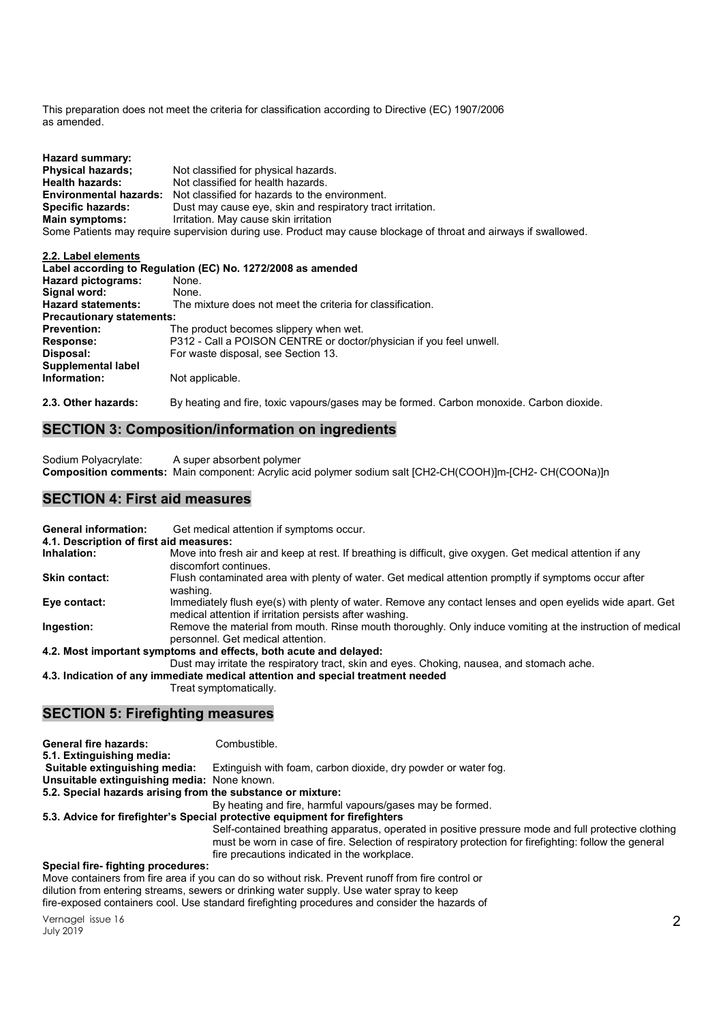This preparation does not meet the criteria for classification according to Directive (EC) 1907/2006 as amended.

| Hazard summary:               |                                                                                                                  |
|-------------------------------|------------------------------------------------------------------------------------------------------------------|
| <b>Physical hazards:</b>      | Not classified for physical hazards.                                                                             |
| <b>Health hazards:</b>        | Not classified for health hazards.                                                                               |
| <b>Environmental hazards:</b> | Not classified for hazards to the environment.                                                                   |
| <b>Specific hazards:</b>      | Dust may cause eye, skin and respiratory tract irritation.                                                       |
| Main symptoms:                | Irritation. May cause skin irritation                                                                            |
|                               | Some Patients may require supervision during use. Product may cause blockage of throat and airways if swallowed. |

#### 2.2. Label elements Label according to Regulation (EC) No. 1272/2008 as amended<br>Hazard pictograms: None. Hazard pictograms: Signal word: None.

| None.                                                               |
|---------------------------------------------------------------------|
| The mixture does not meet the criteria for classification.          |
| <b>Precautionary statements:</b>                                    |
| The product becomes slippery when wet.                              |
| P312 - Call a POISON CENTRE or doctor/physician if you feel unwell. |
| For waste disposal, see Section 13.                                 |
|                                                                     |
| Not applicable.                                                     |
|                                                                     |
|                                                                     |

2.3. Other hazards: By heating and fire, toxic vapours/gases may be formed. Carbon monoxide. Carbon dioxide.

# SECTION 3: Composition/information on ingredients

Sodium Polyacrylate: A super absorbent polymer Composition comments: Main component: Acrylic acid polymer sodium salt [CH2-CH(COOH)]m-[CH2- CH(COONa)]n

## SECTION 4: First aid measures

| <b>General information:</b>             | Get medical attention if symptoms occur.                                                                                                                             |
|-----------------------------------------|----------------------------------------------------------------------------------------------------------------------------------------------------------------------|
| 4.1. Description of first aid measures: |                                                                                                                                                                      |
| Inhalation:                             | Move into fresh air and keep at rest. If breathing is difficult, give oxygen. Get medical attention if any<br>discomfort continues.                                  |
| <b>Skin contact:</b>                    | Flush contaminated area with plenty of water. Get medical attention promptly if symptoms occur after<br>washing.                                                     |
| Eye contact:                            | Immediately flush eye(s) with plenty of water. Remove any contact lenses and open eyelids wide apart. Get<br>medical attention if irritation persists after washing. |
| Ingestion:                              | Remove the material from mouth. Rinse mouth thoroughly. Only induce vomiting at the instruction of medical<br>personnel. Get medical attention.                      |
|                                         | 4.2. Most important symptoms and effects, both acute and delayed:                                                                                                    |
|                                         | Dust may irritate the respiratory tract, skin and eyes. Choking, nausea, and stomach ache.                                                                           |
|                                         | 4.3. Indication of any immediate medical attention and special treatment needed                                                                                      |
|                                         | Treat symptomatically.                                                                                                                                               |

## SECTION 5: Firefighting measures

| <b>General fire hazards:</b><br>5.1. Extinguishing media:                                         | Combustible.                                                                                                                                                                                                  |
|---------------------------------------------------------------------------------------------------|---------------------------------------------------------------------------------------------------------------------------------------------------------------------------------------------------------------|
|                                                                                                   |                                                                                                                                                                                                               |
| Suitable extinguishing media:                                                                     | Extinguish with foam, carbon dioxide, dry powder or water fog.                                                                                                                                                |
| Unsuitable extinguishing media: None known.                                                       |                                                                                                                                                                                                               |
| 5.2. Special hazards arising from the substance or mixture:                                       |                                                                                                                                                                                                               |
|                                                                                                   | By heating and fire, harmful vapours/gases may be formed.                                                                                                                                                     |
| 5.3. Advice for firefighter's Special protective equipment for firefighters                       |                                                                                                                                                                                                               |
|                                                                                                   | Self-contained breathing apparatus, operated in positive pressure mode and full protective clothing<br>must be worn in case of fire. Selection of respiratory protection for firefighting: follow the general |
|                                                                                                   | fire precautions indicated in the workplace.                                                                                                                                                                  |
| Special fire-fighting procedures:                                                                 |                                                                                                                                                                                                               |
| Move containers from fire area if you can do so without risk. Prevent runoff from fire control or |                                                                                                                                                                                                               |

dilution from entering streams, sewers or drinking water supply. Use water spray to keep fire-exposed containers cool. Use standard firefighting procedures and consider the hazards of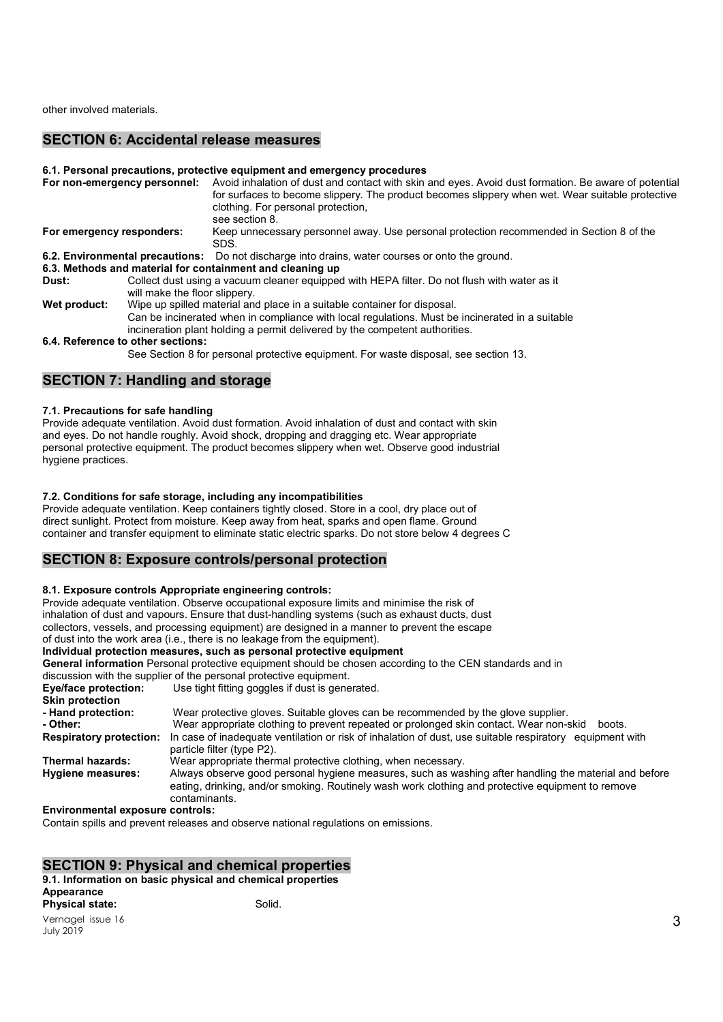other involved materials.

### SECTION 6: Accidental release measures

#### 6.1. Personal precautions, protective equipment and emergency procedures

|                                   | For non-emergency personnel:                                                                                                                                                                                                                               | Avoid inhalation of dust and contact with skin and eyes. Avoid dust formation. Be aware of potential<br>for surfaces to become slippery. The product becomes slippery when wet. Wear suitable protective<br>clothing. For personal protection,<br>see section 8. |
|-----------------------------------|------------------------------------------------------------------------------------------------------------------------------------------------------------------------------------------------------------------------------------------------------------|------------------------------------------------------------------------------------------------------------------------------------------------------------------------------------------------------------------------------------------------------------------|
| For emergency responders:         |                                                                                                                                                                                                                                                            | Keep unnecessary personnel away. Use personal protection recommended in Section 8 of the<br>SDS.                                                                                                                                                                 |
|                                   |                                                                                                                                                                                                                                                            | <b>6.2. Environmental precautions:</b> Do not discharge into drains, water courses or onto the ground.                                                                                                                                                           |
|                                   |                                                                                                                                                                                                                                                            | 6.3. Methods and material for containment and cleaning up                                                                                                                                                                                                        |
| Dust:                             | Collect dust using a vacuum cleaner equipped with HEPA filter. Do not flush with water as it<br>will make the floor slippery.                                                                                                                              |                                                                                                                                                                                                                                                                  |
| Wet product:                      | Wipe up spilled material and place in a suitable container for disposal.<br>Can be incinerated when in compliance with local regulations. Must be incinerated in a suitable<br>incineration plant holding a permit delivered by the competent authorities. |                                                                                                                                                                                                                                                                  |
| 6.4. Reference to other sections: |                                                                                                                                                                                                                                                            |                                                                                                                                                                                                                                                                  |
|                                   |                                                                                                                                                                                                                                                            | See Section 8 for personal protective equipment. For waste disposal, see section 13.                                                                                                                                                                             |

### SECTION 7: Handling and storage

#### 7.1. Precautions for safe handling

Provide adequate ventilation. Avoid dust formation. Avoid inhalation of dust and contact with skin and eyes. Do not handle roughly. Avoid shock, dropping and dragging etc. Wear appropriate personal protective equipment. The product becomes slippery when wet. Observe good industrial hygiene practices.

#### 7.2. Conditions for safe storage, including any incompatibilities

Provide adequate ventilation. Keep containers tightly closed. Store in a cool, dry place out of direct sunlight. Protect from moisture. Keep away from heat, sparks and open flame. Ground container and transfer equipment to eliminate static electric sparks. Do not store below 4 degrees C

## SECTION 8: Exposure controls/personal protection

#### 8.1. Exposure controls Appropriate engineering controls:

Provide adequate ventilation. Observe occupational exposure limits and minimise the risk of inhalation of dust and vapours. Ensure that dust-handling systems (such as exhaust ducts, dust collectors, vessels, and processing equipment) are designed in a manner to prevent the escape of dust into the work area (i.e., there is no leakage from the equipment).

#### Individual protection measures, such as personal protective equipment

General information Personal protective equipment should be chosen according to the CEN standards and in discussion with the supplier of the personal protective equipment.<br> **Eve/face protection:** Use tight fitting goggles if dust is gene Use tight fitting goggles if dust is generated. Skin protection - Hand protection: Wear protective gloves. Suitable gloves can be recommended by the glove supplier. - Other: Wear appropriate clothing to prevent repeated or prolonged skin contact. Wear non-skid boots. Respiratory protection: In case of inadequate ventilation or risk of inhalation of dust, use suitable respiratory equipment with particle filter (type P2). Thermal hazards: Wear appropriate thermal protective clothing, when necessary. Hygiene measures: Always observe good personal hygiene measures, such as washing after handling the material and before eating, drinking, and/or smoking. Routinely wash work clothing and protective equipment to remove contaminants.

#### Environmental exposure controls:

Contain spills and prevent releases and observe national regulations on emissions.

## SECTION 9: Physical and chemical properties

### 9.1. Information on basic physical and chemical properties Appearance **Physical state:** Solid.

Vernagel issue 16 July 2019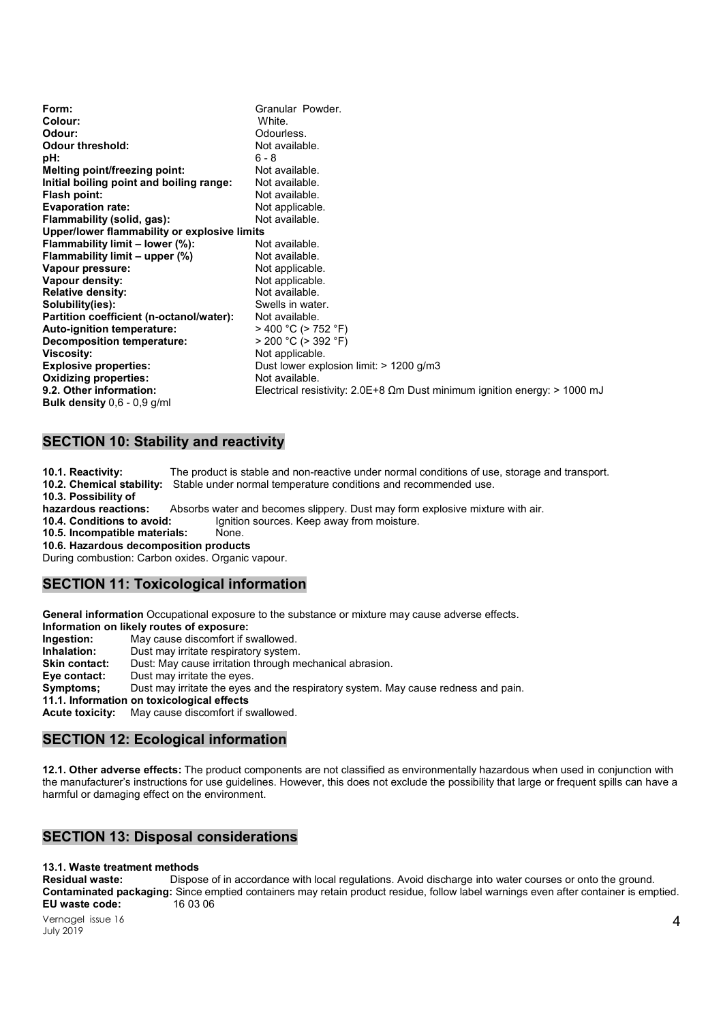| Form:                                        | Granular Powder.                                                                            |  |
|----------------------------------------------|---------------------------------------------------------------------------------------------|--|
| Colour:                                      | White.                                                                                      |  |
| Odour:                                       | Odourless.                                                                                  |  |
| <b>Odour threshold:</b>                      | Not available.                                                                              |  |
| pH:                                          | $6 - 8$                                                                                     |  |
| Melting point/freezing point:                | Not available.                                                                              |  |
| Initial boiling point and boiling range:     | Not available.                                                                              |  |
| Flash point:                                 | Not available.                                                                              |  |
| <b>Evaporation rate:</b>                     | Not applicable.                                                                             |  |
| Flammability (solid, gas):                   | Not available.                                                                              |  |
| Upper/lower flammability or explosive limits |                                                                                             |  |
| Flammability limit - lower (%):              | Not available.                                                                              |  |
| Flammability limit $-$ upper $(\%)$          | Not available.                                                                              |  |
| Vapour pressure:                             | Not applicable.                                                                             |  |
| Vapour density:                              | Not applicable.                                                                             |  |
| <b>Relative density:</b>                     | Not available.                                                                              |  |
| Solubility(ies):                             | Swells in water.                                                                            |  |
| Partition coefficient (n-octanol/water):     | Not available.                                                                              |  |
| <b>Auto-ignition temperature:</b>            | $>$ 400 °C ( $>$ 752 °F)                                                                    |  |
| <b>Decomposition temperature:</b>            | $>$ 200 °C ( $>$ 392 °F)                                                                    |  |
| <b>Viscosity:</b>                            | Not applicable.                                                                             |  |
| <b>Explosive properties:</b>                 | Dust lower explosion limit: $> 1200$ g/m3                                                   |  |
| <b>Oxidizing properties:</b>                 | Not available.                                                                              |  |
| 9.2. Other information:                      | Electrical resistivity: $2.0E+8 \Omega m$ Dust minimum ignition energy: $> 1000 \text{ mJ}$ |  |
| <b>Bulk density</b> $0,6 - 0,9$ g/ml         |                                                                                             |  |

## SECTION 10: Stability and reactivity

10.1. Reactivity: The product is stable and non-reactive under normal conditions of use, storage and transport. 10.2. Chemical stability: Stable under normal temperature conditions and recommended use. 10.3. Possibility of hazardous reactions: Absorbs water and becomes slippery. Dust may form explosive mixture with air. 10.4. Conditions to avoid: Ignition sources. Keep away from moisture. 10.5. Incompatible materials: None. 10.6. Hazardous decomposition products During combustion: Carbon oxides. Organic vapour.

### SECTION 11: Toxicological information

General information Occupational exposure to the substance or mixture may cause adverse effects.

Information on likely routes of exposure:

Ingestion: May cause discomfort if swallowed.

Inhalation: Dust may irritate respiratory system.

Skin contact: Dust: May cause irritation through mechanical abrasion.

Eye contact: Dust may irritate the eyes.

Symptoms; Dust may irritate the eyes and the respiratory system. May cause redness and pain.

11.1. Information on toxicological effects

Acute toxicity: May cause discomfort if swallowed.

# SECTION 12: Ecological information

12.1. Other adverse effects: The product components are not classified as environmentally hazardous when used in conjunction with the manufacturer's instructions for use guidelines. However, this does not exclude the possibility that large or frequent spills can have a harmful or damaging effect on the environment.

# SECTION 13: Disposal considerations

## 13.1. Waste treatment methods

Residual waste: Dispose of in accordance with local regulations. Avoid discharge into water courses or onto the ground. Contaminated packaging: Since emptied containers may retain product residue, follow label warnings even after container is emptied.<br>EU waste code: 16 03 06 EU waste code: